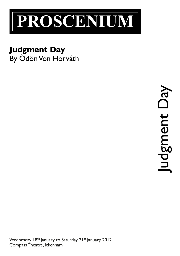

## **Judgment Day**

By Ödön Von Horváth

Judgment Day **APC** udgment

Wednesday 18th January to Saturday 21st January 2012 Compass Theatre, Ickenham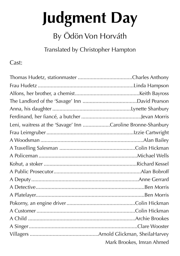# **Judgment Day**

## By Ödön Von Horváth

Translated by Christopher Hampton

Cast:

| Leni, waitress at the 'Savage' Inn Caroline Bronne-Shanbury |                           |
|-------------------------------------------------------------|---------------------------|
|                                                             |                           |
|                                                             |                           |
|                                                             |                           |
|                                                             |                           |
|                                                             |                           |
|                                                             |                           |
|                                                             |                           |
|                                                             |                           |
|                                                             |                           |
|                                                             |                           |
|                                                             |                           |
|                                                             |                           |
|                                                             |                           |
|                                                             |                           |
|                                                             | Mark Brookes, Imran Ahmed |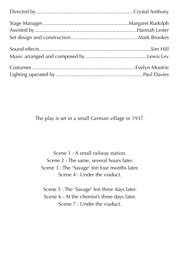The play is set in a small German village in 1937.

Scene 1 : A small railway station. Scene 2 : The same, several hours later. Scene 3 : The 'Savage' Inn four months later. Scene 4 : Under the viaduct.

Scene 5 : The 'Savage' Inn three days later. Scene 6 : At the chemist's three days later. Scene 7 : Under the viaduct.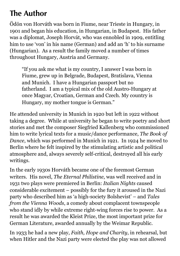## **The Author**

Ödön von Horváth was born in Fiume, near Trieste in Hungary, in 1901 and began his education, in Hungarian, in Budapest. His father was a diplomat, Joseph Horvát, who was ennobled in 1909, entitling him to use 'von' in his name (German) and add an 'h' to his surname (Hungarian). As a result the family moved a number of times throughout Hungary, Austria and Germany.

"If you ask me what is my country, I answer I was born in Fiume, grew up in Belgrade, Budapest, Bratislava, Vienna and Munich. I have a Hungarian passport but no fatherland. I am a typical mix of the old Austro-Hungary at once Magyar, Croatian, German and Czech. My country is Hungary, my mother tongue is German."

He attended university in Munich in 1920 but left in 1922 without taking a degree. While at university he began to write poetry and short stories and met the composer Siegfried Kallenberg who commissioned him to write lyrical texts for a music/dance performance, *The Book of Dance*, which was performed in Munich in 1921. In 1924 he moved to Berlin where he felt inspired by the stimulating artistic and political atmosphere and, always severely self-critical, destroyed all his early writings.

In the early 1930s Horváth became one of the foremost German writers. His novel, *The Eternal Philistine*, was well received and in 1931 two plays were premiered in Berlin: *Italian Nights* caused considerable excitement – possibly for the fury it aroused in the Nazi party who described him as 'a high-society Bolshevist' – and *Tales from the Vienna Woods*, a comedy about complacent townspeople who stand idly by while extreme right-wing forces rise to power. As a result he was awarded the Kleist Prize, the most important prize for German Literature, awarded annually by the Weimar Republic.

In 1933 he had a new play, *Faith, Hope and Charity*, in rehearsal, but when Hitler and the Nazi party were elected the play was not allowed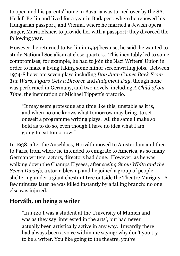to open and his parents' home in Bavaria was turned over by the SA. He left Berlin and lived for a year in Budapest, where he renewed his Hungarian passport, and Vienna, where he married a Jewish opera singer, Maria Elsner, to provide her with a passport: they divorced the following year.

However, he returned to Berlin in 1934 because, he said, he wanted to study National Socialism at close quarters. This inevitably led to some compromises; for example, he had to join the Nazi Writers' Union in order to make a living taking some minor screenwriting jobs. Between 1934-8 he wrote seven plays including *Don Juan Comes Back From The Wars*, *Figaro Gets a Divorce* and *Judgment Day*, though none was performed in Germany, and two novels, including *A Child of our Time*, the inspiration or Michael Tippett's oratorio.

"It may seem grotesque at a time like this, unstable as it is, and when no one knows what tomorrow may bring, to set oneself a programme writing plays. All the same I make so bold as to do so, even though I have no idea what I am going to eat tomorrow."

In 1938, after the Anschloss, Horváth moved to Amsterdam and then to Paris, from where he intended to emigrate to America, as so many German writers, actors, directors had done. However, as he was walking down the Champs Elysees, after *seeing Snow White and the Seven Dwarfs*, a storm blew up and he joined a group of people sheltering under a giant chestnut tree outside the Theatre Marigny. A few minutes later he was killed instantly by a falling branch: no one else was injured.

#### **Horváth, on being a writer**

"In 1920 I was a student at the University of Munich and was as they say 'interested in the arts', but had never actually been artistically active in any way. Inwardly there had always been a voice within me saying: why don't you try to be a writer. You like going to the theatre, you've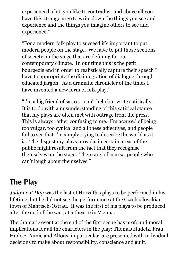experienced a lot, you like to contradict, and above all you have this strange urge to write down the things you see and experience and the things you imagine others to see and experience."

"For a modern folk play to succeed it's important to put modern people on the stage. We have to put those sections of society on the stage that are defining for our contemporary climate. In our time this is the petit bourgeois and in order to realistically capture their speech I have to appropriate the disintegration of dialogue through educated jargon. As a dramatic chronicler of the times I have invented a new form of folk play."

"I'm a big friend of satire. I can't help but write satirically. It is to do with a misunderstanding of this satirical stance that my plays are often met with outrage from the press. This is always rather confusing to me. I'm accused of being too vulgar, too cynical and all these adjectives, and people fail to see that I'm simply trying to describe the world as it is. The disgust my plays provoke in certain areas of the public might result from the fact that they recognise themselves on the stage. There are, of course, people who can't laugh about themselves."

## **The Play**

*Judgment Day* was the last of Horváth's plays to be performed in his lifetime, but he did not see the performance at the Czechoslovakian town of Mahrisch-Ostrau. It was the first of his plays to be produced after the end of the war, at a theatre in Vienna.

The dramatic event at the end of the first scene has profound moral implications for all the characters in the play: Thomas Hudetz, Frau Hudetz, Annie and Alfons, in particular, are presented with individual decisions to make about responsibility, conscience and guilt.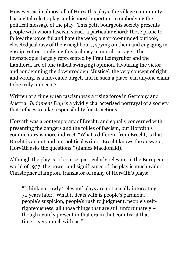However, as in almost all of Horváth's plays, the village community has a vital role to play, and is most important in embodying the political message of the play. This petit bourgeois society presents people with whom fascism struck a particular chord: those prone to follow the powerful and hate the weak; a narrow-minded outlook, closeted jealousy of their neighbours, spying on them and engaging in gossip, yet rationalising this jealousy in moral outrage. The townspeople, largely represented by Frau Leimgruber and the Landlord, are of one (albeit swinging) opinion, favouring the victor and condemning the downtrodden. 'Justice', the very concept of right and wrong, is a moveable target, and in such a place, can anyone claim to be truly innocent?

Written at a time when fascism was a rising force in Germany and Austria, *Judgment Day* is a vividly characterised portrayal of a society that refuses to take responsibility for its actions.

Horváth was a contemporary of Brecht, and equally concerned with presenting the dangers and the follies of fascism, but Horváth's commentary is more indirect. "What's different from Brecht, is that Brecht is an out and out political writer. Brecht knows the answers, Horváth asks the questions." (James Macdonald).

Although the play is, of course, particularly relevant to the European world of 1937, the power and significance of the play is much wider. Christopher Hampton, translator of many of Horváth's plays:

"I think narrowly 'relevant' plays are not usually interesting 70 years later. What it deals with is people's paranoia, people's suspicion, people's rush to judgment, people's selfrighteousness, all those things that are still unfortunately – though acutely present in that era in that country at that time – very much with us."